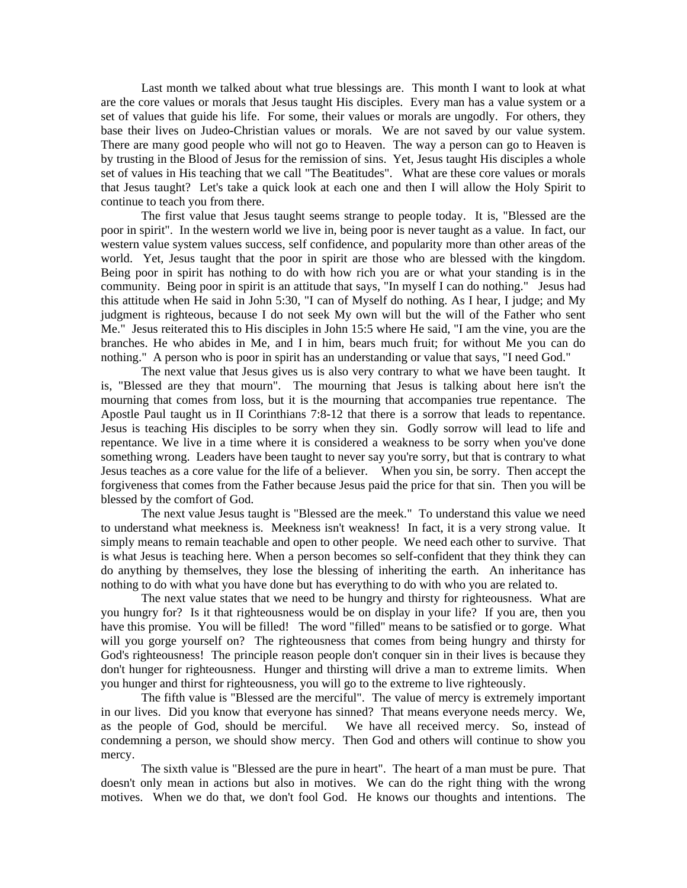Last month we talked about what true blessings are. This month I want to look at what are the core values or morals that Jesus taught His disciples. Every man has a value system or a set of values that guide his life. For some, their values or morals are ungodly. For others, they base their lives on Judeo-Christian values or morals. We are not saved by our value system. There are many good people who will not go to Heaven. The way a person can go to Heaven is by trusting in the Blood of Jesus for the remission of sins. Yet, Jesus taught His disciples a whole set of values in His teaching that we call "The Beatitudes". What are these core values or morals that Jesus taught? Let's take a quick look at each one and then I will allow the Holy Spirit to continue to teach you from there.

 The first value that Jesus taught seems strange to people today. It is, "Blessed are the poor in spirit". In the western world we live in, being poor is never taught as a value. In fact, our western value system values success, self confidence, and popularity more than other areas of the world. Yet, Jesus taught that the poor in spirit are those who are blessed with the kingdom. Being poor in spirit has nothing to do with how rich you are or what your standing is in the community. Being poor in spirit is an attitude that says, "In myself I can do nothing." Jesus had this attitude when He said in John 5:30, "I can of Myself do nothing. As I hear, I judge; and My judgment is righteous, because I do not seek My own will but the will of the Father who sent Me." Jesus reiterated this to His disciples in John 15:5 where He said, "I am the vine, you are the branches. He who abides in Me, and I in him, bears much fruit; for without Me you can do nothing." A person who is poor in spirit has an understanding or value that says, "I need God."

 The next value that Jesus gives us is also very contrary to what we have been taught. It is, "Blessed are they that mourn". The mourning that Jesus is talking about here isn't the mourning that comes from loss, but it is the mourning that accompanies true repentance. The Apostle Paul taught us in II Corinthians 7:8-12 that there is a sorrow that leads to repentance. Jesus is teaching His disciples to be sorry when they sin. Godly sorrow will lead to life and repentance. We live in a time where it is considered a weakness to be sorry when you've done something wrong. Leaders have been taught to never say you're sorry, but that is contrary to what Jesus teaches as a core value for the life of a believer. When you sin, be sorry. Then accept the forgiveness that comes from the Father because Jesus paid the price for that sin. Then you will be blessed by the comfort of God.

The next value Jesus taught is "Blessed are the meek." To understand this value we need to understand what meekness is. Meekness isn't weakness! In fact, it is a very strong value. It simply means to remain teachable and open to other people. We need each other to survive. That is what Jesus is teaching here. When a person becomes so self-confident that they think they can do anything by themselves, they lose the blessing of inheriting the earth. An inheritance has nothing to do with what you have done but has everything to do with who you are related to.

The next value states that we need to be hungry and thirsty for righteousness. What are you hungry for? Is it that righteousness would be on display in your life? If you are, then you have this promise. You will be filled! The word "filled" means to be satisfied or to gorge. What will you gorge yourself on? The righteousness that comes from being hungry and thirsty for God's righteousness! The principle reason people don't conquer sin in their lives is because they don't hunger for righteousness. Hunger and thirsting will drive a man to extreme limits. When you hunger and thirst for righteousness, you will go to the extreme to live righteously.

The fifth value is "Blessed are the merciful". The value of mercy is extremely important in our lives. Did you know that everyone has sinned? That means everyone needs mercy. We, as the people of God, should be merciful. We have all received mercy. So, instead of condemning a person, we should show mercy. Then God and others will continue to show you mercy.

The sixth value is "Blessed are the pure in heart". The heart of a man must be pure. That doesn't only mean in actions but also in motives. We can do the right thing with the wrong motives. When we do that, we don't fool God. He knows our thoughts and intentions. The